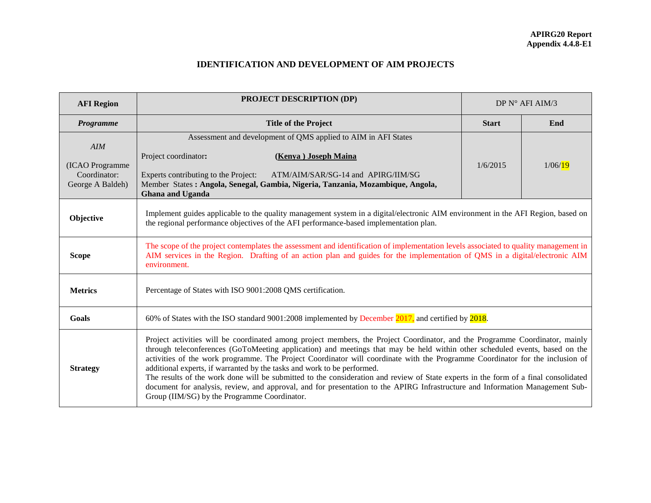## **IDENTIFICATION AND DEVELOPMENT OF AIM PROJECTS**

| <b>AFI</b> Region                                          | <b>PROJECT DESCRIPTION (DP)</b><br>DP N° AFI AIM/3                                                                                                                                                                                                                                                                                                                                                                                                                                                                                                                                                                                                                                                                                                                                              |                     |         |  |  |
|------------------------------------------------------------|-------------------------------------------------------------------------------------------------------------------------------------------------------------------------------------------------------------------------------------------------------------------------------------------------------------------------------------------------------------------------------------------------------------------------------------------------------------------------------------------------------------------------------------------------------------------------------------------------------------------------------------------------------------------------------------------------------------------------------------------------------------------------------------------------|---------------------|---------|--|--|
| Programme                                                  | <b>Title of the Project</b>                                                                                                                                                                                                                                                                                                                                                                                                                                                                                                                                                                                                                                                                                                                                                                     | <b>Start</b><br>End |         |  |  |
| AIM<br>(ICAO Programme<br>Coordinator:<br>George A Baldeh) | Assessment and development of QMS applied to AIM in AFI States<br>Project coordinator:<br>(Kenya) Joseph Maina<br>Experts contributing to the Project:<br>ATM/AIM/SAR/SG-14 and APIRG/IIM/SG<br>Member States: Angola, Senegal, Gambia, Nigeria, Tanzania, Mozambique, Angola,<br>Ghana and Uganda                                                                                                                                                                                                                                                                                                                                                                                                                                                                                              | 1/6/2015            | 1/06/19 |  |  |
| Objective                                                  | Implement guides applicable to the quality management system in a digital/electronic AIM environment in the AFI Region, based on<br>the regional performance objectives of the AFI performance-based implementation plan.                                                                                                                                                                                                                                                                                                                                                                                                                                                                                                                                                                       |                     |         |  |  |
| <b>Scope</b>                                               | The scope of the project contemplates the assessment and identification of implementation levels associated to quality management in<br>AIM services in the Region. Drafting of an action plan and guides for the implementation of QMS in a digital/electronic AIM<br>environment.                                                                                                                                                                                                                                                                                                                                                                                                                                                                                                             |                     |         |  |  |
| <b>Metrics</b>                                             | Percentage of States with ISO 9001:2008 QMS certification.                                                                                                                                                                                                                                                                                                                                                                                                                                                                                                                                                                                                                                                                                                                                      |                     |         |  |  |
| <b>Goals</b>                                               | 60% of States with the ISO standard 9001:2008 implemented by December 2017, and certified by 2018.                                                                                                                                                                                                                                                                                                                                                                                                                                                                                                                                                                                                                                                                                              |                     |         |  |  |
| <b>Strategy</b>                                            | Project activities will be coordinated among project members, the Project Coordinator, and the Programme Coordinator, mainly<br>through teleconferences (GoToMeeting application) and meetings that may be held within other scheduled events, based on the<br>activities of the work programme. The Project Coordinator will coordinate with the Programme Coordinator for the inclusion of<br>additional experts, if warranted by the tasks and work to be performed.<br>The results of the work done will be submitted to the consideration and review of State experts in the form of a final consolidated<br>document for analysis, review, and approval, and for presentation to the APIRG Infrastructure and Information Management Sub-<br>Group (IIM/SG) by the Programme Coordinator. |                     |         |  |  |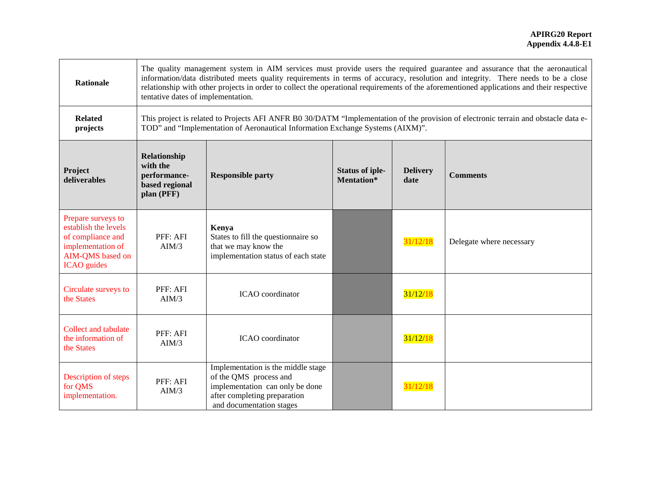| <b>Rationale</b>                                                                                                               | The quality management system in AIM services must provide users the required guarantee and assurance that the aeronautical<br>information/data distributed meets quality requirements in terms of accuracy, resolution and integrity. There needs to be a close<br>relationship with other projects in order to collect the operational requirements of the aforementioned applications and their respective<br>tentative dates of implementation. |                                                                                                                                                                                                                       |                                      |                         |                          |
|--------------------------------------------------------------------------------------------------------------------------------|-----------------------------------------------------------------------------------------------------------------------------------------------------------------------------------------------------------------------------------------------------------------------------------------------------------------------------------------------------------------------------------------------------------------------------------------------------|-----------------------------------------------------------------------------------------------------------------------------------------------------------------------------------------------------------------------|--------------------------------------|-------------------------|--------------------------|
| <b>Related</b><br>projects                                                                                                     |                                                                                                                                                                                                                                                                                                                                                                                                                                                     | This project is related to Projects AFI ANFR B0 30/DATM "Implementation of the provision of electronic terrain and obstacle data e-<br>TOD" and "Implementation of Aeronautical Information Exchange Systems (AIXM)". |                                      |                         |                          |
| Project<br>deliverables                                                                                                        | Relationship<br>with the<br>performance-<br><b>Responsible party</b><br>based regional<br>plan (PFF)                                                                                                                                                                                                                                                                                                                                                |                                                                                                                                                                                                                       | <b>Status of iple-</b><br>Mentation* | <b>Delivery</b><br>date | <b>Comments</b>          |
| Prepare surveys to<br>establish the levels<br>of compliance and<br>implementation of<br>AIM-QMS based on<br><b>ICAO</b> guides | PFF: AFI<br>AIM/3                                                                                                                                                                                                                                                                                                                                                                                                                                   | Kenya<br>States to fill the questionnaire so<br>that we may know the<br>implementation status of each state                                                                                                           |                                      | 31/12/18                | Delegate where necessary |
| Circulate surveys to<br>the States                                                                                             | PFF: AFI<br>AIM/3                                                                                                                                                                                                                                                                                                                                                                                                                                   | ICAO coordinator                                                                                                                                                                                                      |                                      | 31/12/18                |                          |
| Collect and tabulate<br>the information of<br>the States                                                                       | PFF: AFI<br>AIM/3                                                                                                                                                                                                                                                                                                                                                                                                                                   | <b>ICAO</b> coordinator                                                                                                                                                                                               |                                      | 31/12/18                |                          |
| Description of steps<br>for QMS<br>implementation.                                                                             | PFF: AFI<br>AIM/3                                                                                                                                                                                                                                                                                                                                                                                                                                   | Implementation is the middle stage<br>of the QMS process and<br>implementation can only be done<br>after completing preparation<br>and documentation stages                                                           |                                      | 31/12/18                |                          |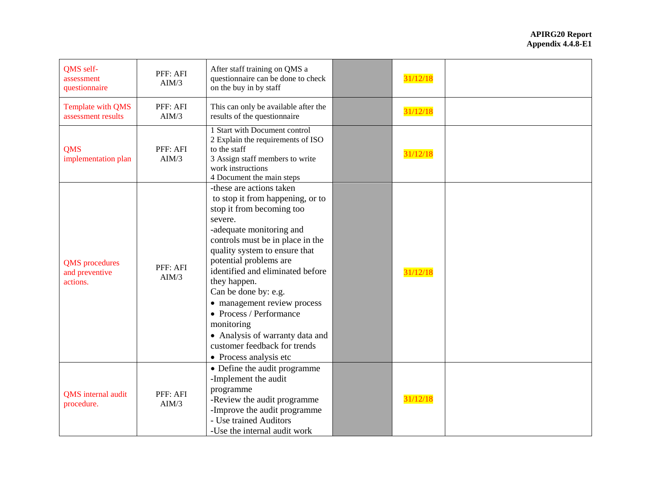| QMS self-<br>assessment<br>questionnaire                     | PFF: AFI<br>AIM/3 | After staff training on QMS a<br>questionnaire can be done to check<br>on the buy in by staff                                                                                                                                                                                                                                                                                                                                                                                    |  | 31/12/18 |  |
|--------------------------------------------------------------|-------------------|----------------------------------------------------------------------------------------------------------------------------------------------------------------------------------------------------------------------------------------------------------------------------------------------------------------------------------------------------------------------------------------------------------------------------------------------------------------------------------|--|----------|--|
| Template with QMS<br>PFF: AFI<br>assessment results<br>AIM/3 |                   | This can only be available after the<br>31/12/18<br>results of the questionnaire                                                                                                                                                                                                                                                                                                                                                                                                 |  |          |  |
| <b>QMS</b><br>PFF: AFI<br>implementation plan<br>AIM/3       |                   | 1 Start with Document control<br>2 Explain the requirements of ISO<br>to the staff<br>3 Assign staff members to write<br>work instructions<br>4 Document the main steps                                                                                                                                                                                                                                                                                                          |  | 31/12/18 |  |
| <b>QMS</b> procedures<br>and preventive<br>actions.          | PFF: AFI<br>AIM/3 | -these are actions taken<br>to stop it from happening, or to<br>stop it from becoming too<br>severe.<br>-adequate monitoring and<br>controls must be in place in the<br>quality system to ensure that<br>potential problems are<br>identified and eliminated before<br>they happen.<br>Can be done by: e.g.<br>• management review process<br>• Process / Performance<br>monitoring<br>• Analysis of warranty data and<br>customer feedback for trends<br>• Process analysis etc |  | 31/12/18 |  |
| PFF: AFI<br><b>QMS</b> internal audit<br>procedure.<br>AIM/3 |                   | • Define the audit programme<br>-Implement the audit<br>programme<br>-Review the audit programme<br>-Improve the audit programme<br>- Use trained Auditors<br>-Use the internal audit work                                                                                                                                                                                                                                                                                       |  | 31/12/18 |  |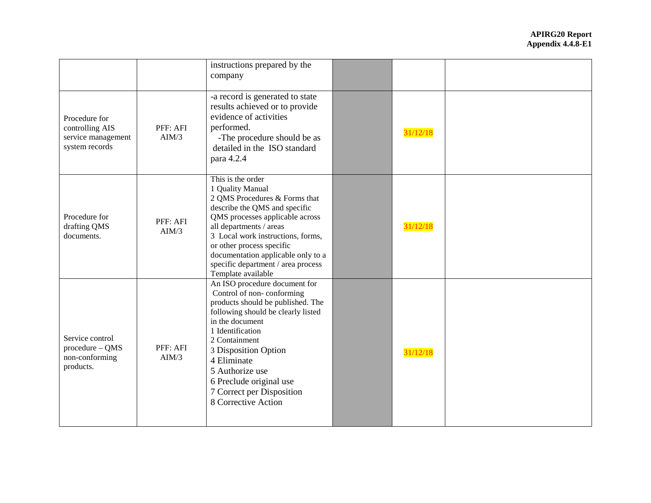|                                                                          |                   | instructions prepared by the<br>company                                                                                                                                                                                                                                                                                                   |          |  |
|--------------------------------------------------------------------------|-------------------|-------------------------------------------------------------------------------------------------------------------------------------------------------------------------------------------------------------------------------------------------------------------------------------------------------------------------------------------|----------|--|
| Procedure for<br>controlling AIS<br>service management<br>system records | PFF: AFI<br>AIM/3 | -a record is generated to state<br>results achieved or to provide<br>evidence of activities<br>performed.<br>-The procedure should be as<br>detailed in the ISO standard<br>para 4.2.4                                                                                                                                                    | 31/12/18 |  |
| Procedure for<br>drafting QMS<br>documents.                              | PFF: AFI<br>AIM/3 | This is the order<br>1 Quality Manual<br>2 QMS Procedures & Forms that<br>describe the QMS and specific<br>QMS processes applicable across<br>all departments / areas<br>3 Local work instructions, forms,<br>or other process specific<br>documentation applicable only to a<br>specific department / area process<br>Template available | 31/12/18 |  |
| Service control<br>$procedure - QMS$<br>non-conforming<br>products.      | PFF: AFI<br>AIM/3 | An ISO procedure document for<br>Control of non-conforming<br>products should be published. The<br>following should be clearly listed<br>in the document<br>1 Identification<br>2 Containment<br>3 Disposition Option<br>4 Eliminate<br>5 Authorize use<br>6 Preclude original use<br>7 Correct per Disposition<br>8 Corrective Action    | 31/12/18 |  |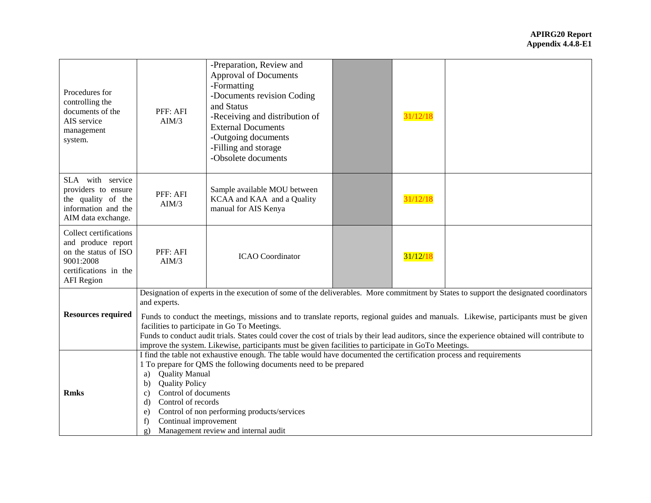| Procedures for<br>controlling the<br>documents of the<br>AIS service<br>management<br>system.                                   | PFF: AFI<br>AIM/3                                                                                                                                                                                                                                                                                                                                                                                                                                                                                                                                                                                     | -Preparation, Review and<br><b>Approval of Documents</b><br>-Formatting<br>-Documents revision Coding<br>and Status<br>-Receiving and distribution of<br><b>External Documents</b><br>-Outgoing documents<br>-Filling and storage<br>-Obsolete documents |  | 31/12/18 |  |
|---------------------------------------------------------------------------------------------------------------------------------|-------------------------------------------------------------------------------------------------------------------------------------------------------------------------------------------------------------------------------------------------------------------------------------------------------------------------------------------------------------------------------------------------------------------------------------------------------------------------------------------------------------------------------------------------------------------------------------------------------|----------------------------------------------------------------------------------------------------------------------------------------------------------------------------------------------------------------------------------------------------------|--|----------|--|
| SLA with service<br>providers to ensure<br>the quality of the<br>information and the<br>AIM data exchange.                      | Sample available MOU between<br>PFF: AFI<br>KCAA and KAA and a Quality<br>AIM/3<br>manual for AIS Kenya                                                                                                                                                                                                                                                                                                                                                                                                                                                                                               |                                                                                                                                                                                                                                                          |  | 31/12/18 |  |
| Collect certifications<br>and produce report<br>on the status of ISO<br>9001:2008<br>certifications in the<br><b>AFI</b> Region | PFF: AFI<br>AIM/3                                                                                                                                                                                                                                                                                                                                                                                                                                                                                                                                                                                     | <b>ICAO</b> Coordinator                                                                                                                                                                                                                                  |  | 31/12/18 |  |
| <b>Resources required</b>                                                                                                       | Designation of experts in the execution of some of the deliverables. More commitment by States to support the designated coordinators<br>and experts.<br>Funds to conduct the meetings, missions and to translate reports, regional guides and manuals. Likewise, participants must be given<br>facilities to participate in Go To Meetings.<br>Funds to conduct audit trials. States could cover the cost of trials by their lead auditors, since the experience obtained will contribute to<br>improve the system. Likewise, participants must be given facilities to participate in GoTo Meetings. |                                                                                                                                                                                                                                                          |  |          |  |
| <b>Rmks</b>                                                                                                                     | I find the table not exhaustive enough. The table would have documented the certification process and requirements<br>1 To prepare for QMS the following documents need to be prepared<br><b>Quality Manual</b><br>a)<br><b>Quality Policy</b><br>b)<br>Control of documents<br>$\mathbf{c}$ )<br>Control of records<br>d)<br>Control of non performing products/services<br>e)<br>Continual improvement<br>f<br>Management review and internal audit<br>$\mathbf{g}$ )                                                                                                                               |                                                                                                                                                                                                                                                          |  |          |  |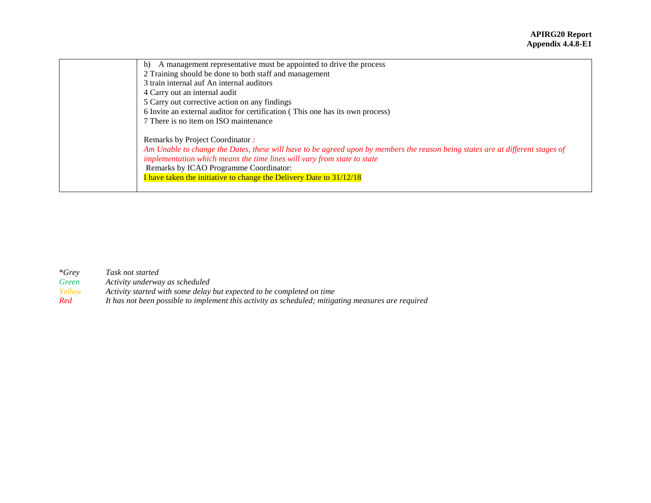| A management representative must be appointed to drive the process<br>h)                                                       |
|--------------------------------------------------------------------------------------------------------------------------------|
| 2 Training should be done to both staff and management                                                                         |
| 3 train internal auf An internal auditors                                                                                      |
| 4 Carry out an internal audit                                                                                                  |
| 5 Carry out corrective action on any findings                                                                                  |
| 6 Invite an external auditor for certification (This one has its own process)                                                  |
| 7 There is no item on ISO maintenance                                                                                          |
|                                                                                                                                |
| Remarks by Project Coordinator:                                                                                                |
| Am Unable to change the Dates, these will have to be agreed upon by members the reason being states are at different stages of |
| implementation which means the time lines will vary from state to state                                                        |
| Remarks by ICAO Programme Coordinator:                                                                                         |
| I have taken the initiative to change the Delivery Date to 31/12/18                                                            |
|                                                                                                                                |

| $*Grev$ | Task not started |
|---------|------------------|
|---------|------------------|

- *Green Activity underway as scheduled*
- *Yellow Activity started with some delay but expected to be completed on time*
- *Red It has not been possible to implement this activity as scheduled; mitigating measures are required*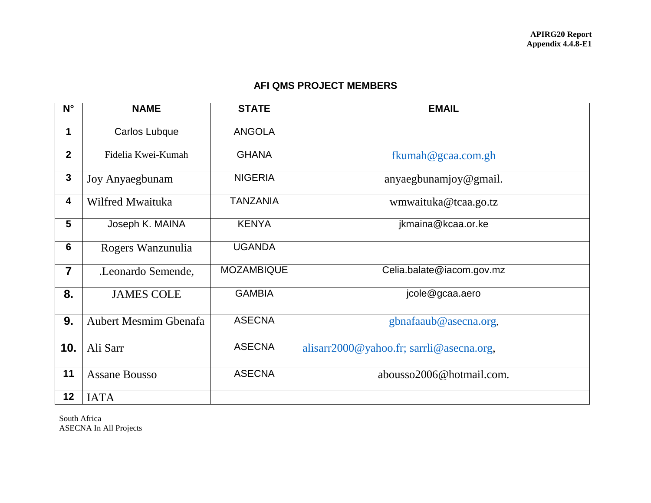## **AFI QMS PROJECT MEMBERS**

| $N^{\circ}$             | <b>NAME</b>                  | <b>STATE</b>      | <b>EMAIL</b>                             |
|-------------------------|------------------------------|-------------------|------------------------------------------|
| $\mathbf{1}$            | Carlos Lubque                | <b>ANGOLA</b>     |                                          |
| $\overline{2}$          | Fidelia Kwei-Kumah           | <b>GHANA</b>      | fkumah@gcaa.com.gh                       |
| $\mathbf{3}$            | Joy Anyaegbunam              | <b>NIGERIA</b>    | anyaegbunamjoy@gmail.                    |
| $\overline{\mathbf{4}}$ | Wilfred Mwaituka             | <b>TANZANIA</b>   | wmwaituka@tcaa.go.tz                     |
| 5                       | Joseph K. MAINA              | <b>KENYA</b>      | jkmaina@kcaa.or.ke                       |
| $6\phantom{1}$          | Rogers Wanzunulia            | <b>UGANDA</b>     |                                          |
| $\overline{7}$          | .Leonardo Semende,           | <b>MOZAMBIQUE</b> | Celia.balate@iacom.gov.mz                |
| 8.                      | <b>JAMES COLE</b>            | <b>GAMBIA</b>     | jcole@gcaa.aero                          |
| 9.                      | <b>Aubert Mesmim Gbenafa</b> | <b>ASECNA</b>     | gbnafaaub@asecna.org,                    |
| 10.                     | Ali Sarr                     | <b>ASECNA</b>     | alisarr2000@yahoo.fr; sarrli@asecna.org, |
| 11                      | <b>Assane Bousso</b>         | <b>ASECNA</b>     | abousso2006@hotmail.com.                 |
| 12                      | <b>IATA</b>                  |                   |                                          |

South Africa ASECNA In All Projects